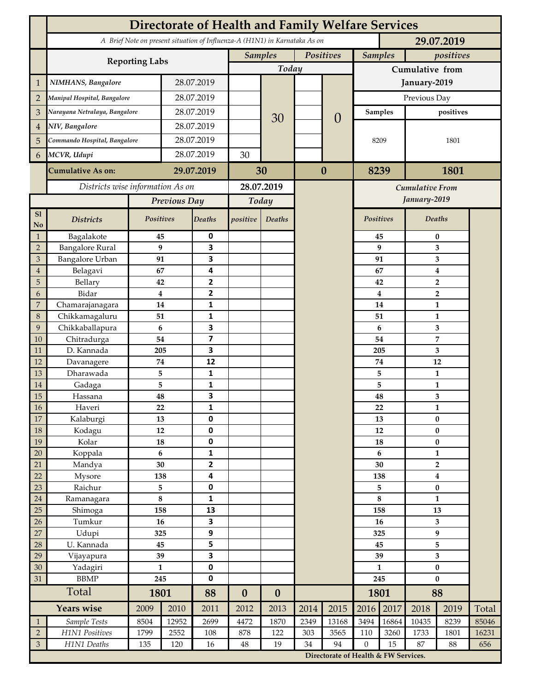|                     | <b>Directorate of Health and Family Welfare Services</b>                                 |                             |            |                         |                             |                  |                 |                                      |                                 |                         |                         |                         |       |  |
|---------------------|------------------------------------------------------------------------------------------|-----------------------------|------------|-------------------------|-----------------------------|------------------|-----------------|--------------------------------------|---------------------------------|-------------------------|-------------------------|-------------------------|-------|--|
|                     | A Brief Note on present situation of Influenza-A (H1N1) in Karnataka As on<br>29.07.2019 |                             |            |                         |                             |                  |                 |                                      |                                 |                         |                         |                         |       |  |
|                     |                                                                                          | <b>Samples</b><br>Positives |            |                         | <b>Samples</b><br>positives |                  |                 |                                      |                                 |                         |                         |                         |       |  |
|                     | <b>Reporting Labs</b>                                                                    |                             | Today      |                         |                             |                  | Cumulative from |                                      |                                 |                         |                         |                         |       |  |
| 1                   | NIMHANS, Bangalore                                                                       | 28.07.2019                  |            |                         |                             |                  |                 | January-2019                         |                                 |                         |                         |                         |       |  |
| $\overline{2}$      | Manipal Hospital, Bangalore                                                              |                             |            | 28.07.2019              |                             |                  |                 |                                      | Previous Day                    |                         |                         |                         |       |  |
| 3                   | Narayana Netralaya, Bangalore                                                            |                             |            | 28.07.2019              |                             |                  |                 |                                      |                                 | <b>Samples</b>          | positives               |                         |       |  |
| $\overline{4}$      | NIV, Bangalore                                                                           |                             |            | 28.07.2019              |                             | 30               |                 | $\theta$                             |                                 |                         |                         |                         |       |  |
| 5                   | Commando Hospital, Bangalore                                                             |                             | 28.07.2019 |                         |                             |                  |                 |                                      | 8209                            |                         | 1801                    |                         |       |  |
| 6                   | MCVR, Udupi                                                                              |                             | 28.07.2019 |                         | 30                          |                  |                 |                                      |                                 |                         |                         |                         |       |  |
|                     |                                                                                          | <b>Cumulative As on:</b>    |            | 29.07.2019              |                             |                  | $\bf{0}$        |                                      | 8239                            |                         | 1801                    |                         |       |  |
|                     |                                                                                          |                             |            | 30                      |                             |                  |                 |                                      |                                 |                         |                         |                         |       |  |
|                     | Districts wise information As on                                                         |                             |            | 28.07.2019              |                             |                  |                 |                                      | Cumulative From<br>January-2019 |                         |                         |                         |       |  |
|                     |                                                                                          | Previous Day                |            | Today                   |                             |                  |                 |                                      |                                 |                         |                         |                         |       |  |
| S1<br>No            | <b>Districts</b>                                                                         | Positives                   |            | <b>Deaths</b>           | positive                    | Deaths           |                 |                                      | Positives                       |                         | Deaths                  |                         |       |  |
| $\mathbf{1}$        | Bagalakote                                                                               | 45                          |            | 0                       |                             |                  |                 |                                      |                                 | 45                      | $\bf{0}$                |                         |       |  |
| $\overline{2}$      | <b>Bangalore Rural</b>                                                                   | 9                           |            | 3                       |                             |                  |                 |                                      |                                 | 9                       | 3                       |                         |       |  |
| 3                   | Bangalore Urban                                                                          | 91                          |            | 3<br>4                  |                             |                  |                 |                                      |                                 | 91                      | 3                       |                         |       |  |
| $\overline{4}$<br>5 | Belagavi<br>Bellary                                                                      | 67<br>42                    |            | $\mathbf{2}$            |                             |                  |                 |                                      |                                 | 67<br>42                | 4<br>$\overline{2}$     |                         |       |  |
| 6                   | Bidar                                                                                    | $\boldsymbol{4}$            |            | $\overline{2}$          |                             |                  |                 |                                      |                                 | $\overline{\mathbf{4}}$ | $\overline{\mathbf{2}}$ |                         |       |  |
| 7                   | Chamarajanagara                                                                          | 14                          |            | 1                       |                             |                  |                 |                                      |                                 | 14                      | 1                       |                         |       |  |
| $\,8\,$             | Chikkamagaluru                                                                           | 51                          |            | 1                       |                             |                  |                 |                                      |                                 | 51                      |                         | 1                       |       |  |
| 9                   | Chikkaballapura                                                                          | 6                           |            | 3                       |                             |                  |                 |                                      |                                 | 6                       |                         | 3                       |       |  |
| 10                  | Chitradurga                                                                              | 54                          |            | $\overline{\mathbf{z}}$ |                             |                  |                 |                                      |                                 | 54                      |                         | $\overline{\mathbf{7}}$ |       |  |
| 11                  | D. Kannada                                                                               | 205                         |            | 3                       |                             |                  |                 |                                      |                                 | 205                     | 3                       |                         |       |  |
| 12                  | Davanagere                                                                               | 74                          |            | 12                      |                             |                  |                 |                                      |                                 | $74\,$                  | 12                      |                         |       |  |
| 13                  | Dharawada                                                                                | 5                           |            | 1                       |                             |                  |                 |                                      |                                 | 5                       | $\mathbf{1}$            |                         |       |  |
| 14<br>15            | Gadaga<br>Hassana                                                                        | 5<br>48                     |            | $\mathbf{1}$<br>3       |                             |                  |                 |                                      |                                 | 5<br>48                 | $\mathbf{1}$<br>3       |                         |       |  |
| 16                  | Haveri                                                                                   | 22                          |            | $\mathbf{1}$            |                             |                  |                 |                                      |                                 | 22                      | $\mathbf{1}$            |                         |       |  |
| 17                  | Kalaburgi                                                                                | 13                          |            | 0                       |                             |                  |                 |                                      |                                 | 13                      | $\bf{0}$                |                         |       |  |
| 18                  | Kodagu                                                                                   | 12                          |            | 0                       |                             |                  |                 |                                      |                                 | $12\,$                  | $\pmb{0}$               |                         |       |  |
| 19                  | Kolar                                                                                    | 18                          |            | $\pmb{0}$               |                             |                  |                 |                                      |                                 | 18                      | $\bf{0}$                |                         |       |  |
| 20                  | Koppala                                                                                  | $\bf 6$                     |            | $\mathbf{1}$            |                             |                  |                 |                                      | $\boldsymbol{6}$                |                         | $\mathbf{1}$            |                         |       |  |
| 21                  | Mandya                                                                                   | 30                          |            | $\mathbf{2}$            |                             |                  |                 |                                      | 30                              |                         |                         | $\mathbf 2$             |       |  |
| 22                  | Mysore                                                                                   | 138                         |            | 4                       |                             |                  |                 |                                      |                                 | 138                     | 4                       |                         |       |  |
| 23                  | Raichur                                                                                  | 5                           |            | 0                       |                             |                  |                 |                                      | 5<br>$\bf 8$                    |                         | $\pmb{0}$               |                         |       |  |
| 24<br>25            | Ramanagara                                                                               | $\bf 8$<br>158              |            | 1<br>13                 |                             |                  |                 |                                      | 158                             |                         | $\mathbf{1}$<br>13      |                         |       |  |
| 26                  | Shimoga<br>Tumkur                                                                        | 16                          |            | 3                       |                             |                  |                 |                                      | 16                              |                         | 3                       |                         |       |  |
| 27                  | Udupi                                                                                    | 325                         |            | 9                       |                             |                  |                 |                                      | 325                             |                         | $\boldsymbol{9}$        |                         |       |  |
| 28                  | U. Kannada                                                                               | 45                          |            | 5                       |                             |                  |                 |                                      |                                 | 45                      |                         | 5                       |       |  |
| 29                  | Vijayapura                                                                               | 39                          |            | 3                       |                             |                  |                 |                                      |                                 | 39                      | $\mathbf{3}$            |                         |       |  |
| $\overline{30}$     | Yadagiri                                                                                 | $\mathbf{1}$                |            | $\pmb{0}$               |                             |                  |                 |                                      | $\mathbf{1}$                    |                         | $\bf{0}$                |                         |       |  |
| 31                  | <b>BBMP</b>                                                                              |                             | 245        | $\pmb{0}$               |                             |                  |                 |                                      | 245                             |                         | $\bf{0}$                |                         |       |  |
|                     | Total                                                                                    | 1801                        |            | 88                      | $\boldsymbol{0}$            | $\boldsymbol{0}$ |                 |                                      | 1801                            |                         | 88                      |                         |       |  |
|                     | <b>Years wise</b>                                                                        | 2009                        | 2010       | 2011                    | 2012                        | 2013             | 2014            | 2015                                 | 2016                            | 2017                    | 2018                    | 2019                    | Total |  |
| $\mathbf{1}$        | Sample Tests                                                                             | 8504                        | 12952      | 2699                    | 4472                        | 1870             | 2349            | 13168                                | 3494                            | 16864                   | 10435                   | 8239                    | 85046 |  |
| $\overline{2}$      | H1N1 Positives                                                                           | 1799                        | 2552       | 108                     | 878                         | 122              | 303             | 3565                                 | 110                             | 3260                    | 1733                    | 1801                    | 16231 |  |
| $\mathfrak{Z}$      | H1N1 Deaths                                                                              | 135                         | 120        | 16                      | $\rm 48$                    | 19               | 34              | 94                                   | $\mathbf{0}$                    | 15                      | 87                      | 88                      | 656   |  |
|                     |                                                                                          |                             |            |                         |                             |                  |                 | Directorate of Health & FW Services. |                                 |                         |                         |                         |       |  |